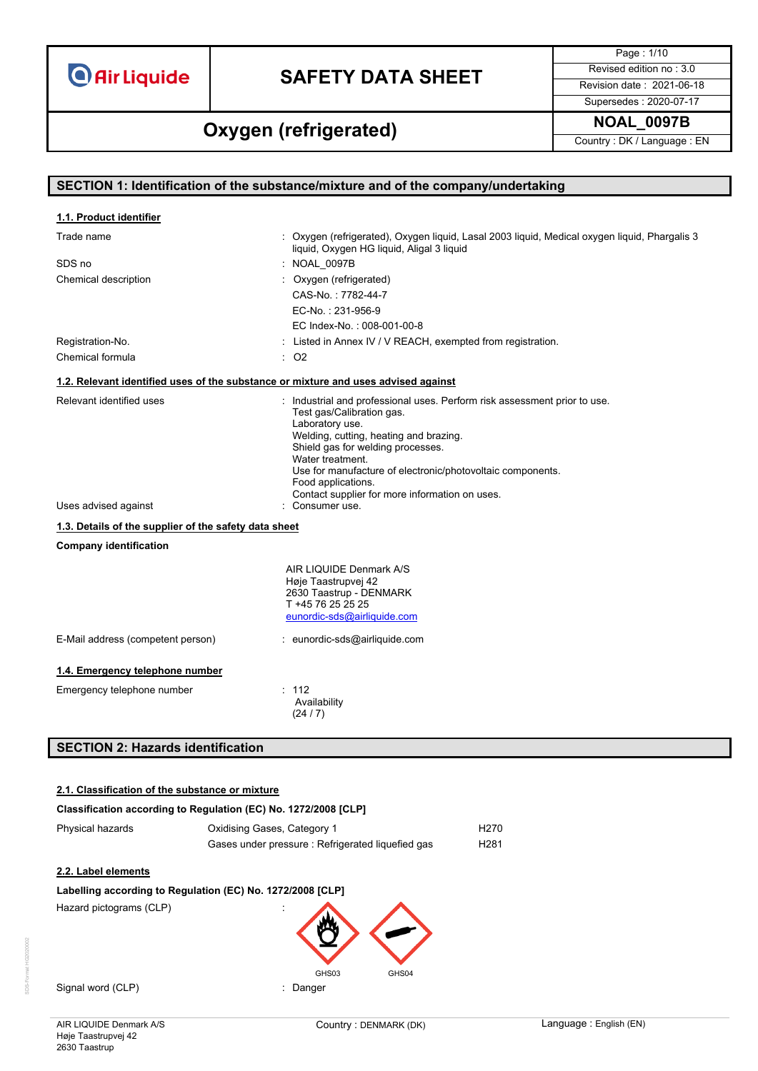# **SAFETY DATA SHEET** Revised edition no : 3.0

Page : 1/10

**NOAL\_0097B Oxygen (refrigerated)**

Supersedes : 2020-07-17

Country : DK / Language : EN

|                                                                                    | SECTION 1: Identification of the substance/mixture and of the company/undertaking                                                                                                                                                                                                                                                                                  |
|------------------------------------------------------------------------------------|--------------------------------------------------------------------------------------------------------------------------------------------------------------------------------------------------------------------------------------------------------------------------------------------------------------------------------------------------------------------|
| 1.1. Product identifier                                                            |                                                                                                                                                                                                                                                                                                                                                                    |
| Trade name                                                                         | : Oxygen (refrigerated), Oxygen liquid, Lasal 2003 liquid, Medical oxygen liquid, Phargalis 3<br>liquid, Oxygen HG liquid, Aligal 3 liquid                                                                                                                                                                                                                         |
| SDS no                                                                             | : NOAL 0097B                                                                                                                                                                                                                                                                                                                                                       |
| Chemical description                                                               | : Oxygen (refrigerated)                                                                                                                                                                                                                                                                                                                                            |
|                                                                                    | CAS-No.: 7782-44-7                                                                                                                                                                                                                                                                                                                                                 |
|                                                                                    | EC-No.: 231-956-9                                                                                                                                                                                                                                                                                                                                                  |
|                                                                                    | EC Index-No.: 008-001-00-8                                                                                                                                                                                                                                                                                                                                         |
| Registration-No.                                                                   | : Listed in Annex IV / V REACH, exempted from registration.                                                                                                                                                                                                                                                                                                        |
| Chemical formula                                                                   | $:$ O <sub>2</sub>                                                                                                                                                                                                                                                                                                                                                 |
| 1.2. Relevant identified uses of the substance or mixture and uses advised against |                                                                                                                                                                                                                                                                                                                                                                    |
| Relevant identified uses                                                           | : Industrial and professional uses. Perform risk assessment prior to use.<br>Test gas/Calibration gas.<br>Laboratory use.<br>Welding, cutting, heating and brazing.<br>Shield gas for welding processes.<br>Water treatment.<br>Use for manufacture of electronic/photovoltaic components.<br>Food applications.<br>Contact supplier for more information on uses. |
| Uses advised against                                                               | : Consumer use.                                                                                                                                                                                                                                                                                                                                                    |
| 1.3. Details of the supplier of the safety data sheet                              |                                                                                                                                                                                                                                                                                                                                                                    |
| <b>Company identification</b>                                                      |                                                                                                                                                                                                                                                                                                                                                                    |
|                                                                                    | AIR LIQUIDE Denmark A/S<br>Høje Taastrupvej 42<br>2630 Taastrup - DENMARK<br>T +45 76 25 25 25<br>eunordic-sds@airliquide.com                                                                                                                                                                                                                                      |
| E-Mail address (competent person)                                                  | : eunordic-sds@airliquide.com                                                                                                                                                                                                                                                                                                                                      |
| 1.4. Emergency telephone number                                                    |                                                                                                                                                                                                                                                                                                                                                                    |
| Emergency telephone number                                                         | : 112<br>Availability<br>(24/7)                                                                                                                                                                                                                                                                                                                                    |

# **SECTION 2: Hazards identification**

### **2.1. Classification of the substance or mixture**

| Classification according to Regulation (EC) No. 1272/2008 [CLP] |                                                   |                   |  |
|-----------------------------------------------------------------|---------------------------------------------------|-------------------|--|
| Phvsical hazards                                                | Oxidising Gases, Category 1                       | H270              |  |
|                                                                 | Gases under pressure : Refrigerated liquefied gas | H <sub>2</sub> 81 |  |

### **2.2. Label elements**

### **Labelling according to Regulation (EC) No. 1272/2008 [CLP]** Hazard pictograms (CLP) :



Signal word (CLP) **in the set of the Signal word** (CLP) **in the Signal Signal Way of the Signal Signal Signal Signal Signal Signal Signal Signal Signal Signal Signal Signal Signal Signal Signal Signal Signal Signal Signal** 

AIR LIQUIDE Denmark A/S Høje Taastrupvej 42 2630 Taastrup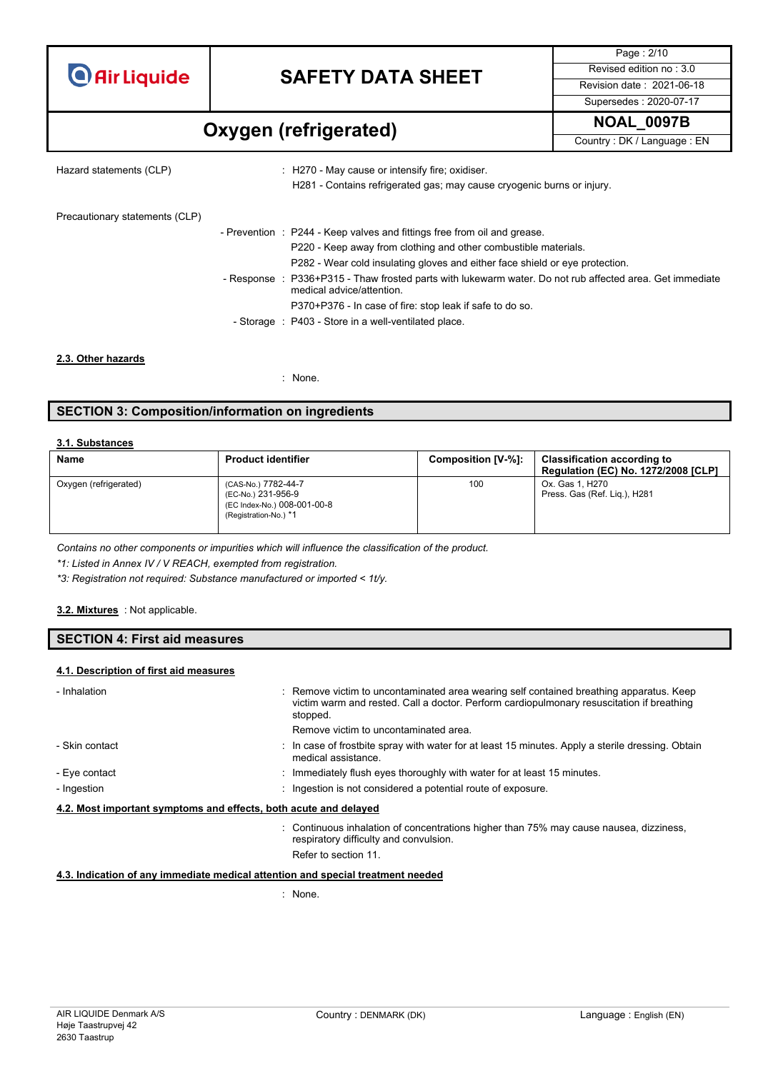# **SAFETY DATA SHEET** Revised edition no : 3.0

**NOAL\_0097B Oxygen (refrigerated)**

Page : 2/10 Supersedes : 2020-07-17

Country : DK / Language : EN

Hazard statements (CLP) : H270 - May cause or intensify fire; oxidiser.

H281 - Contains refrigerated gas; may cause cryogenic burns or injury.

Precautionary statements (CLP)

| - Prevention : P244 - Keep valves and fittings free from oil and grease.                                                              |
|---------------------------------------------------------------------------------------------------------------------------------------|
| P220 - Keep away from clothing and other combustible materials.                                                                       |
| P282 - Wear cold insulating gloves and either face shield or eye protection.                                                          |
| - Response : P336+P315 - Thaw frosted parts with lukewarm water. Do not rub affected area. Get immediate<br>medical advice/attention. |
| P370+P376 - In case of fire: stop leak if safe to do so.                                                                              |
| - Storage : P403 - Store in a well-ventilated place.                                                                                  |

**2.3. Other hazards**

: None.

### **SECTION 3: Composition/information on ingredients**

#### **3.1. Substances**

| Name                  | <b>Product identifier</b>                                                                         | Composition [V-%]: | <b>Classification according to</b><br><b>Regulation (EC) No. 1272/2008 [CLP]</b> |
|-----------------------|---------------------------------------------------------------------------------------------------|--------------------|----------------------------------------------------------------------------------|
| Oxygen (refrigerated) | (CAS-No.) 7782-44-7<br>(EC-No.) 231-956-9<br>(EC Index-No.) 008-001-00-8<br>(Registration-No.) *1 | 100                | Ox. Gas 1. H270<br>Press. Gas (Ref. Lig.), H281                                  |

*Contains no other components or impurities which will influence the classification of the product.*

*\*1: Listed in Annex IV / V REACH, exempted from registration.*

*\*3: Registration not required: Substance manufactured or imported < 1t/y.*

#### : Not applicable. **3.2. Mixtures**

#### **SECTION 4: First aid measures**

#### **4.1. Description of first aid measures**

| - Inhalation                                                     | : Remove victim to uncontaminated area wearing self contained breathing apparatus. Keep<br>victim warm and rested. Call a doctor. Perform cardiopulmonary resuscitation if breathing<br>stopped.<br>Remove victim to uncontaminated area. |
|------------------------------------------------------------------|-------------------------------------------------------------------------------------------------------------------------------------------------------------------------------------------------------------------------------------------|
|                                                                  |                                                                                                                                                                                                                                           |
| - Skin contact                                                   | : In case of frostbite spray with water for at least 15 minutes. Apply a sterile dressing. Obtain<br>medical assistance                                                                                                                   |
| - Eye contact                                                    | : Immediately flush eyes thoroughly with water for at least 15 minutes.                                                                                                                                                                   |
| - Ingestion                                                      | : Ingestion is not considered a potential route of exposure.                                                                                                                                                                              |
| 4.2. Most important symptoms and effects, both acute and delayed |                                                                                                                                                                                                                                           |
|                                                                  | : Continuous inhalation of concentrations higher than 75% may cause nausea, dizziness,<br>respiratory difficulty and convulsion.<br>Refer to section 11.                                                                                  |

#### **4.3. Indication of any immediate medical attention and special treatment needed**

: None.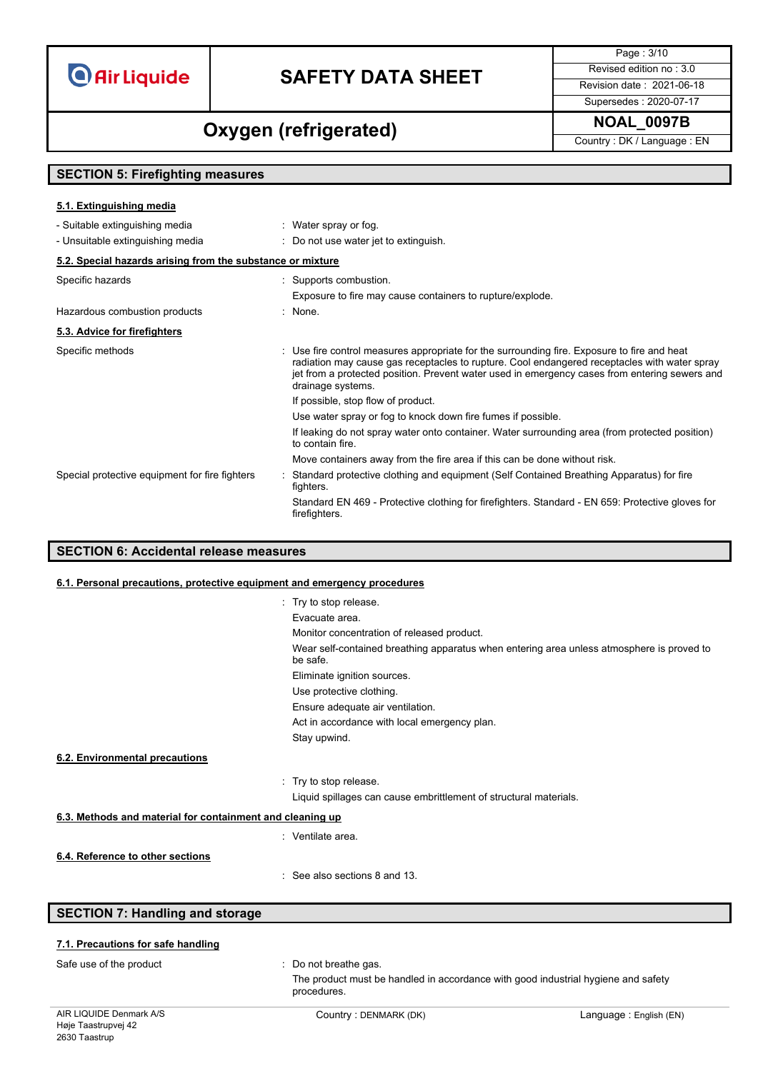# **SAFETY DATA SHEET** Revised edition no : 3.0

Page : 3/10

### Supersedes : 2020-07-17

# **NOAL\_0097B Oxygen (refrigerated)**

Country : DK / Language : EN

### **SECTION 5: Firefighting measures**

| 5.1. Extinguishing media                                   |                                                                                                                                                                                                                                                                                                                   |
|------------------------------------------------------------|-------------------------------------------------------------------------------------------------------------------------------------------------------------------------------------------------------------------------------------------------------------------------------------------------------------------|
| - Suitable extinguishing media                             | : Water spray or fog.                                                                                                                                                                                                                                                                                             |
| - Unsuitable extinguishing media                           | : Do not use water jet to extinguish.                                                                                                                                                                                                                                                                             |
| 5.2. Special hazards arising from the substance or mixture |                                                                                                                                                                                                                                                                                                                   |
| Specific hazards                                           | : Supports combustion.                                                                                                                                                                                                                                                                                            |
|                                                            | Exposure to fire may cause containers to rupture/explode.                                                                                                                                                                                                                                                         |
| Hazardous combustion products                              | $\therefore$ None.                                                                                                                                                                                                                                                                                                |
| 5.3. Advice for firefighters                               |                                                                                                                                                                                                                                                                                                                   |
| Specific methods                                           | : Use fire control measures appropriate for the surrounding fire. Exposure to fire and heat<br>radiation may cause gas receptacles to rupture. Cool endangered receptacles with water spray<br>jet from a protected position. Prevent water used in emergency cases from entering sewers and<br>drainage systems. |
|                                                            | If possible, stop flow of product.                                                                                                                                                                                                                                                                                |
|                                                            | Use water spray or fog to knock down fire fumes if possible.                                                                                                                                                                                                                                                      |
|                                                            | If leaking do not spray water onto container. Water surrounding area (from protected position)<br>to contain fire.                                                                                                                                                                                                |
|                                                            | Move containers away from the fire area if this can be done without risk.                                                                                                                                                                                                                                         |
| Special protective equipment for fire fighters             | Standard protective clothing and equipment (Self Contained Breathing Apparatus) for fire<br>fighters.                                                                                                                                                                                                             |
|                                                            | Standard EN 469 - Protective clothing for firefighters. Standard - EN 659: Protective gloves for<br>firefighters.                                                                                                                                                                                                 |

### **SECTION 6: Accidental release measures**

### **6.1. Personal precautions, protective equipment and emergency procedures**

|                                                           | : Try to stop release.                                                                                |
|-----------------------------------------------------------|-------------------------------------------------------------------------------------------------------|
|                                                           | Evacuate area.                                                                                        |
|                                                           | Monitor concentration of released product.                                                            |
|                                                           | Wear self-contained breathing apparatus when entering area unless atmosphere is proved to<br>be safe. |
|                                                           | Eliminate ignition sources.                                                                           |
|                                                           | Use protective clothing.                                                                              |
|                                                           | Ensure adequate air ventilation.                                                                      |
|                                                           | Act in accordance with local emergency plan.                                                          |
|                                                           | Stay upwind.                                                                                          |
| 6.2. Environmental precautions                            |                                                                                                       |
|                                                           | : Try to stop release.                                                                                |
|                                                           | Liquid spillages can cause embrittlement of structural materials.                                     |
| 6.3. Methods and material for containment and cleaning up |                                                                                                       |
|                                                           | : Ventilate area.                                                                                     |
| 6.4. Reference to other sections                          |                                                                                                       |
|                                                           | $\cdot$ See also sections 8 and 13                                                                    |
|                                                           |                                                                                                       |
| <b>SECTION 7: Handling and storage</b>                    |                                                                                                       |
|                                                           |                                                                                                       |

### **7.1. Precautions for safe handling**

Safe use of the product : Do not breathe gas.

The product must be handled in accordance with good industrial hygiene and safety procedures.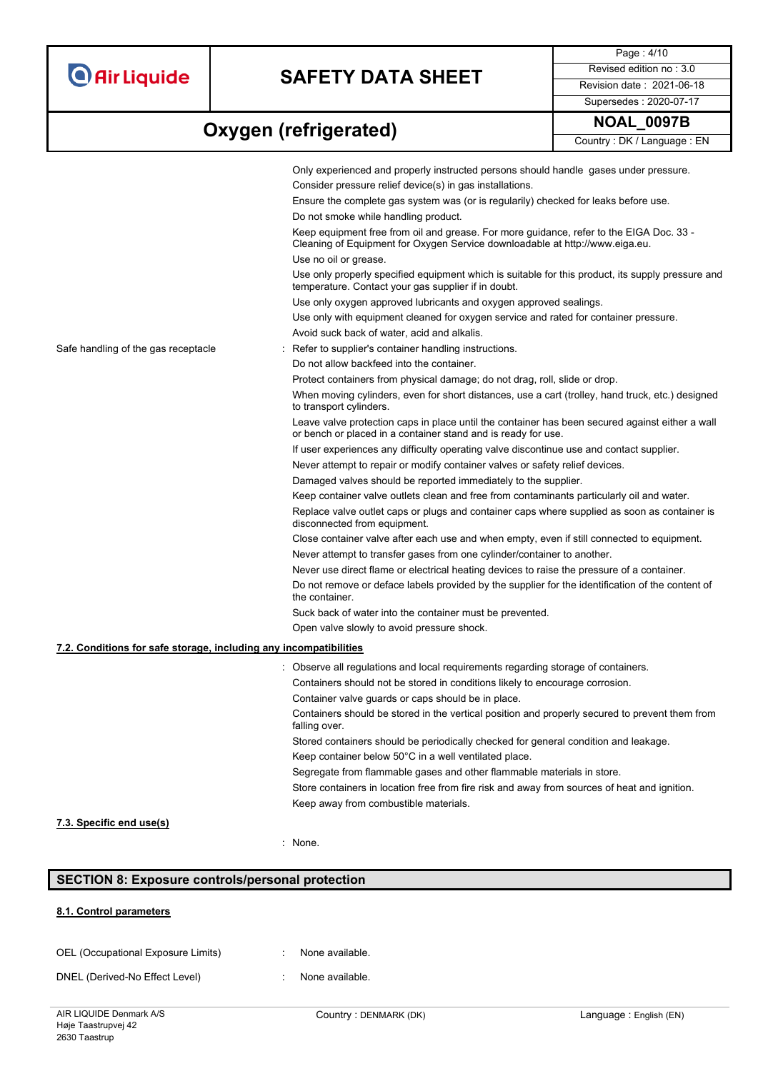# **SAFETY DATA SHEET** Revised edition no : 3.0

Page : 4/10 Supersedes : 2020-07-17

# **Oxygen** (refrigerated) MOAL\_0097B

Country : DK / Language : EN

|                                                                   | Only experienced and properly instructed persons should handle gases under pressure.                                                                                    |
|-------------------------------------------------------------------|-------------------------------------------------------------------------------------------------------------------------------------------------------------------------|
|                                                                   | Consider pressure relief device(s) in gas installations.                                                                                                                |
|                                                                   | Ensure the complete gas system was (or is regularily) checked for leaks before use.                                                                                     |
|                                                                   | Do not smoke while handling product.                                                                                                                                    |
|                                                                   | Keep equipment free from oil and grease. For more guidance, refer to the EIGA Doc. 33 -<br>Cleaning of Equipment for Oxygen Service downloadable at http://www.eiga.eu. |
|                                                                   | Use no oil or grease.                                                                                                                                                   |
|                                                                   | Use only properly specified equipment which is suitable for this product, its supply pressure and<br>temperature. Contact your gas supplier if in doubt.                |
|                                                                   | Use only oxygen approved lubricants and oxygen approved sealings.                                                                                                       |
|                                                                   | Use only with equipment cleaned for oxygen service and rated for container pressure.                                                                                    |
|                                                                   | Avoid suck back of water, acid and alkalis.                                                                                                                             |
| Safe handling of the gas receptacle                               | Refer to supplier's container handling instructions.                                                                                                                    |
|                                                                   | Do not allow backfeed into the container.                                                                                                                               |
|                                                                   | Protect containers from physical damage; do not drag, roll, slide or drop.                                                                                              |
|                                                                   | When moving cylinders, even for short distances, use a cart (trolley, hand truck, etc.) designed<br>to transport cylinders.                                             |
|                                                                   | Leave valve protection caps in place until the container has been secured against either a wall<br>or bench or placed in a container stand and is ready for use.        |
|                                                                   | If user experiences any difficulty operating valve discontinue use and contact supplier.                                                                                |
|                                                                   | Never attempt to repair or modify container valves or safety relief devices.                                                                                            |
|                                                                   | Damaged valves should be reported immediately to the supplier.                                                                                                          |
|                                                                   | Keep container valve outlets clean and free from contaminants particularly oil and water.                                                                               |
|                                                                   | Replace valve outlet caps or plugs and container caps where supplied as soon as container is<br>disconnected from equipment.                                            |
|                                                                   | Close container valve after each use and when empty, even if still connected to equipment.                                                                              |
|                                                                   | Never attempt to transfer gases from one cylinder/container to another.                                                                                                 |
|                                                                   | Never use direct flame or electrical heating devices to raise the pressure of a container.                                                                              |
|                                                                   | Do not remove or deface labels provided by the supplier for the identification of the content of<br>the container.                                                      |
|                                                                   | Suck back of water into the container must be prevented.                                                                                                                |
|                                                                   | Open valve slowly to avoid pressure shock.                                                                                                                              |
| 7.2. Conditions for safe storage, including any incompatibilities |                                                                                                                                                                         |
|                                                                   | Observe all regulations and local requirements regarding storage of containers.                                                                                         |
|                                                                   | Containers should not be stored in conditions likely to encourage corrosion.                                                                                            |
|                                                                   | Container valve guards or caps should be in place.                                                                                                                      |
|                                                                   | Containers should be stored in the vertical position and properly secured to prevent them from<br>falling over.                                                         |
|                                                                   | Stored containers should be periodically checked for general condition and leakage.                                                                                     |
|                                                                   | Keep container below 50°C in a well ventilated place.                                                                                                                   |
|                                                                   | Segregate from flammable gases and other flammable materials in store.                                                                                                  |
|                                                                   | Store containers in location free from fire risk and away from sources of heat and ignition.                                                                            |
|                                                                   | Keep away from combustible materials.                                                                                                                                   |
| 7.3. Specific end use(s)                                          |                                                                                                                                                                         |

#### : None.

## **SECTION 8: Exposure controls/personal protection**

### **8.1. Control parameters**

| OEL (Occupational Exposure Limits) | None available. |
|------------------------------------|-----------------|
| DNEL (Derived-No Effect Level)     | None available. |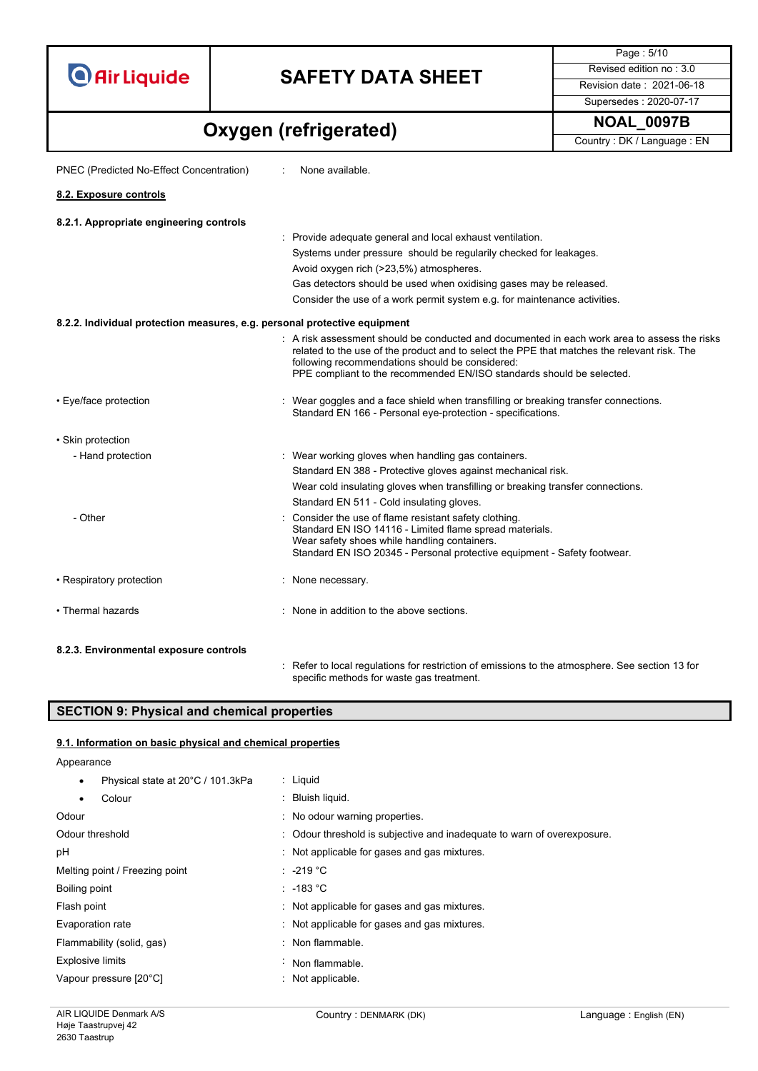# **SAFETY DATA SHEET** Revised edition no : 3.0

Supersedes : 2020-07-17

Page : 5/10

**NOAL\_0097B Oxygen (refrigerated)**

Country : DK / Language : EN

| PNEC (Predicted No-Effect Concentration)                                  | None available.                                                                                                                                                                                                                                                                                                         |
|---------------------------------------------------------------------------|-------------------------------------------------------------------------------------------------------------------------------------------------------------------------------------------------------------------------------------------------------------------------------------------------------------------------|
| 8.2. Exposure controls                                                    |                                                                                                                                                                                                                                                                                                                         |
| 8.2.1. Appropriate engineering controls                                   |                                                                                                                                                                                                                                                                                                                         |
|                                                                           | : Provide adequate general and local exhaust ventilation.                                                                                                                                                                                                                                                               |
|                                                                           | Systems under pressure should be regularily checked for leakages.                                                                                                                                                                                                                                                       |
|                                                                           | Avoid oxygen rich (>23,5%) atmospheres.                                                                                                                                                                                                                                                                                 |
|                                                                           | Gas detectors should be used when oxidising gases may be released.                                                                                                                                                                                                                                                      |
|                                                                           | Consider the use of a work permit system e.g. for maintenance activities.                                                                                                                                                                                                                                               |
| 8.2.2. Individual protection measures, e.g. personal protective equipment |                                                                                                                                                                                                                                                                                                                         |
|                                                                           | : A risk assessment should be conducted and documented in each work area to assess the risks<br>related to the use of the product and to select the PPE that matches the relevant risk. The<br>following recommendations should be considered:<br>PPE compliant to the recommended EN/ISO standards should be selected. |
| • Eye/face protection                                                     | : Wear goggles and a face shield when transfilling or breaking transfer connections.<br>Standard EN 166 - Personal eye-protection - specifications.                                                                                                                                                                     |
| • Skin protection                                                         |                                                                                                                                                                                                                                                                                                                         |
| - Hand protection                                                         | : Wear working gloves when handling gas containers.                                                                                                                                                                                                                                                                     |
|                                                                           | Standard EN 388 - Protective gloves against mechanical risk.                                                                                                                                                                                                                                                            |
|                                                                           | Wear cold insulating gloves when transfilling or breaking transfer connections.                                                                                                                                                                                                                                         |
|                                                                           | Standard EN 511 - Cold insulating gloves.                                                                                                                                                                                                                                                                               |
| - Other                                                                   | Consider the use of flame resistant safety clothing.<br>Standard EN ISO 14116 - Limited flame spread materials.<br>Wear safety shoes while handling containers.<br>Standard EN ISO 20345 - Personal protective equipment - Safety footwear.                                                                             |
| • Respiratory protection                                                  | : None necessary.                                                                                                                                                                                                                                                                                                       |
| • Thermal hazards                                                         | : None in addition to the above sections.                                                                                                                                                                                                                                                                               |
| 8.2.3. Environmental exposure controls                                    |                                                                                                                                                                                                                                                                                                                         |
|                                                                           | : Refer to local regulations for restriction of emissions to the atmosphere. See section 13 for<br>specific methods for waste gas treatment.                                                                                                                                                                            |

### **SECTION 9: Physical and chemical properties**

#### **9.1. Information on basic physical and chemical properties**

Appearance • Physical state at 20°C / 101.3kPa : Liquid Colour : Bluish liquid. Odour contract of the contract of the Codour warning properties. Odour threshold **Solut Example 20** : Odour threshold is subjective and inadequate to warn of overexposure. pH  $\cdot$  Not applicable for gases and gas mixtures. Melting point / Freezing point : -219 °C Boiling point : -183 °C Flash point **in the case of the case of the cases** in Not applicable for gases and gas mixtures. Evaporation rate **interpretent in the Community Community** Mot applicable for gases and gas mixtures. Flammability (solid, gas) : Non flammable. Explosive limits **Explosive Limits Explosive Limits Explosive Limits Explosive Limits EXPLOSIVE 2018** Vapour pressure [20°C]  $\blacksquare$  : Not applicable.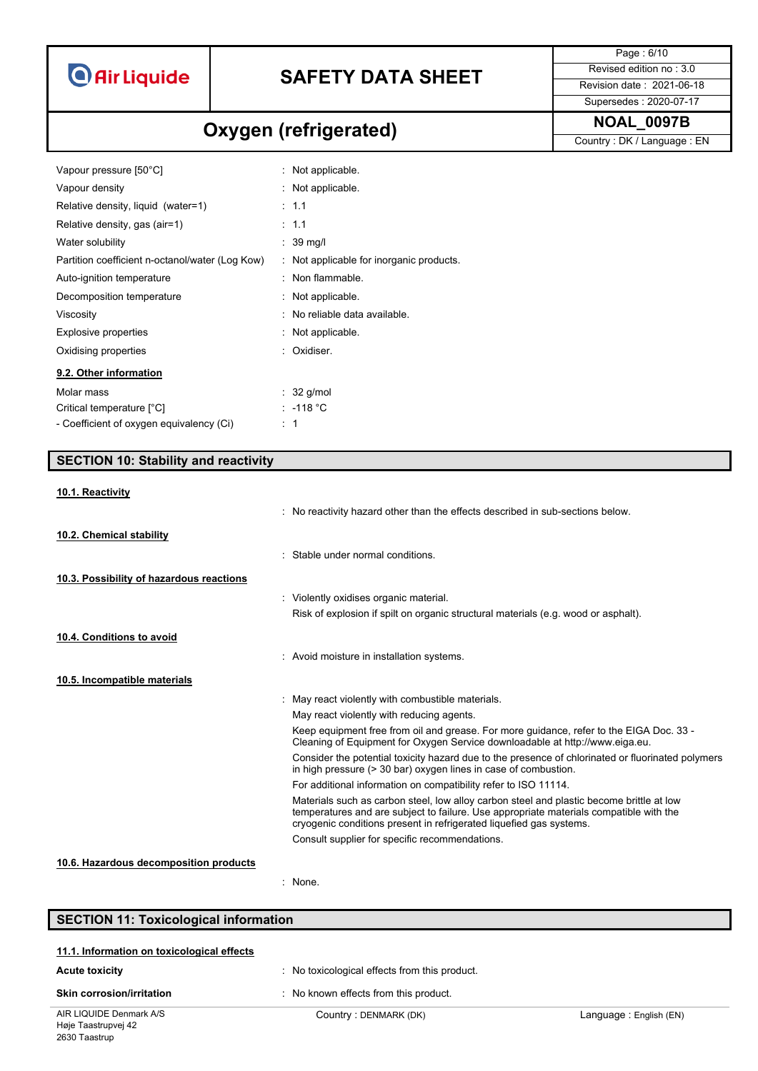# **SAFETY DATA SHEET** Revised edition no : 3.0

Page : 6/10 Supersedes : 2020-07-17

# **NOAL\_0097B Oxygen (refrigerated)**

Country : DK / Language : EN

| Vapour pressure [50°C]                          | : Not applicable.                        |
|-------------------------------------------------|------------------------------------------|
| Vapour density                                  | : Not applicable.                        |
| Relative density, liquid (water=1)              | $\therefore$ 1.1                         |
| Relative density, gas (air=1)                   | $\therefore$ 1.1                         |
| Water solubility                                | $\therefore$ 39 mg/l                     |
| Partition coefficient n-octanol/water (Log Kow) | : Not applicable for inorganic products. |
| Auto-ignition temperature                       | : Non flammable.                         |
| Decomposition temperature                       | : Not applicable.                        |
| Viscosity                                       | : No reliable data available.            |
| <b>Explosive properties</b>                     | : Not applicable.                        |
| Oxidising properties                            | : Oxidiser.                              |
| 9.2. Other information                          |                                          |
| Molar mass                                      | $\therefore$ 32 g/mol                    |
| Critical temperature [°C]                       | : -118 °C                                |
| - Coefficient of oxygen equivalency (Ci)        | -1<br>÷                                  |

### **SECTION 10: Stability and reactivity**

| 10.1. Reactivity                         |                                                                                                                                                                                                                                                           |
|------------------------------------------|-----------------------------------------------------------------------------------------------------------------------------------------------------------------------------------------------------------------------------------------------------------|
|                                          | . No reactivity hazard other than the effects described in sub-sections below.                                                                                                                                                                            |
| 10.2. Chemical stability                 |                                                                                                                                                                                                                                                           |
|                                          | Stable under normal conditions                                                                                                                                                                                                                            |
| 10.3. Possibility of hazardous reactions |                                                                                                                                                                                                                                                           |
|                                          | : Violently oxidises organic material.                                                                                                                                                                                                                    |
|                                          | Risk of explosion if spilt on organic structural materials (e.g. wood or asphalt).                                                                                                                                                                        |
| 10.4. Conditions to avoid                |                                                                                                                                                                                                                                                           |
|                                          | : Avoid moisture in installation systems.                                                                                                                                                                                                                 |
| 10.5. Incompatible materials             |                                                                                                                                                                                                                                                           |
|                                          | : May react violently with combustible materials.                                                                                                                                                                                                         |
|                                          | May react violently with reducing agents.                                                                                                                                                                                                                 |
|                                          | Keep equipment free from oil and grease. For more quidance, refer to the EIGA Doc. 33 -<br>Cleaning of Equipment for Oxygen Service downloadable at http://www.eiga.eu.                                                                                   |
|                                          | Consider the potential toxicity hazard due to the presence of chlorinated or fluorinated polymers<br>in high pressure (> 30 bar) oxygen lines in case of combustion.                                                                                      |
|                                          | For additional information on compatibility refer to ISO 11114.                                                                                                                                                                                           |
|                                          | Materials such as carbon steel, low alloy carbon steel and plastic become brittle at low<br>temperatures and are subject to failure. Use appropriate materials compatible with the<br>cryogenic conditions present in refrigerated liquefied gas systems. |
|                                          | Consult supplier for specific recommendations.                                                                                                                                                                                                            |
|                                          |                                                                                                                                                                                                                                                           |

#### **10.6. Hazardous decomposition products**

: None.

### **SECTION 11: Toxicological information**

# **11.1. Information on toxicological effects Acute toxicity Acute foxicity** : No toxicological effects from this product.

**Skin corrosion/irritation** : No known effects from this product.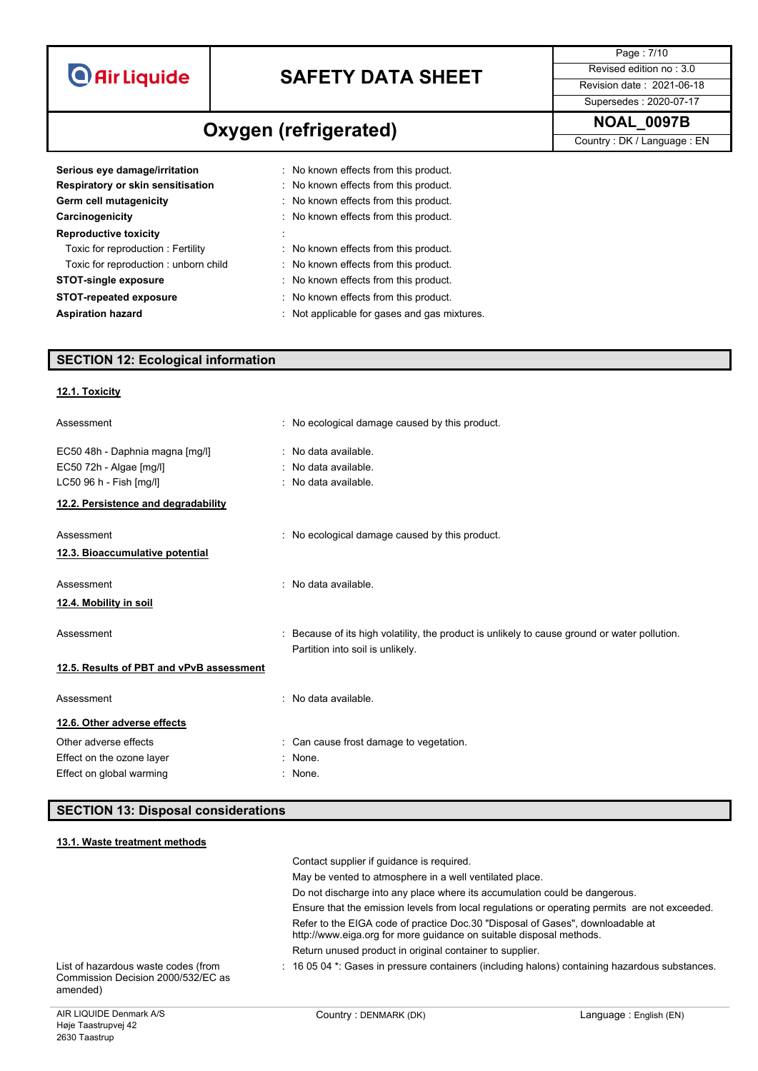| <b>O</b> Air Liquide |
|----------------------|
|                      |
|                      |

**Oxygen** (refrigerated) MOAL\_0097B

Page : 7/10 Supersedes : 2020-07-17

Country : DK / Language : EN

| Serious eye damage/irritation        | : No known effects from this product.        |
|--------------------------------------|----------------------------------------------|
| Respiratory or skin sensitisation    | : No known effects from this product.        |
| Germ cell mutagenicity               | : No known effects from this product.        |
| Carcinogenicity                      | : No known effects from this product.        |
| <b>Reproductive toxicity</b>         |                                              |
| Toxic for reproduction: Fertility    | : No known effects from this product.        |
| Toxic for reproduction: unborn child | : No known effects from this product.        |
| <b>STOT-single exposure</b>          | : No known effects from this product.        |
| <b>STOT-repeated exposure</b>        | : No known effects from this product.        |
| <b>Aspiration hazard</b>             | : Not applicable for gases and gas mixtures. |

# **SECTION 12: Ecological information**

### **12.1. Toxicity**

| Assessment                               | : No ecological damage caused by this product.                                                                                  |
|------------------------------------------|---------------------------------------------------------------------------------------------------------------------------------|
| EC50 48h - Daphnia magna [mg/l]          | : No data available.                                                                                                            |
| EC50 72h - Algae [mg/l]                  | : No data available.                                                                                                            |
| LC50 96 h - Fish [mg/l]                  | : No data available.                                                                                                            |
| 12.2. Persistence and degradability      |                                                                                                                                 |
| Assessment                               | : No ecological damage caused by this product.                                                                                  |
| 12.3. Bioaccumulative potential          |                                                                                                                                 |
| Assessment                               | : No data available.                                                                                                            |
| 12.4. Mobility in soil                   |                                                                                                                                 |
| Assessment                               | Because of its high volatility, the product is unlikely to cause ground or water pollution.<br>Partition into soil is unlikely. |
| 12.5. Results of PBT and vPvB assessment |                                                                                                                                 |
| Assessment                               | : No data available.                                                                                                            |
| 12.6. Other adverse effects              |                                                                                                                                 |
| Other adverse effects                    | : Can cause frost damage to vegetation.                                                                                         |
| Effect on the ozone layer                | None.                                                                                                                           |
| Effect on global warming                 | None.                                                                                                                           |

# **SECTION 13: Disposal considerations**

| 13.1. Waste treatment methods                                                         |                                                                                                                                                       |                        |
|---------------------------------------------------------------------------------------|-------------------------------------------------------------------------------------------------------------------------------------------------------|------------------------|
|                                                                                       | Contact supplier if quidance is required.                                                                                                             |                        |
|                                                                                       | May be vented to atmosphere in a well ventilated place.                                                                                               |                        |
|                                                                                       | Do not discharge into any place where its accumulation could be dangerous.                                                                            |                        |
|                                                                                       | Ensure that the emission levels from local regulations or operating permits are not exceeded.                                                         |                        |
|                                                                                       | Refer to the EIGA code of practice Doc.30 "Disposal of Gases", downloadable at<br>http://www.eiga.org for more guidance on suitable disposal methods. |                        |
|                                                                                       | Return unused product in original container to supplier.                                                                                              |                        |
| List of hazardous waste codes (from<br>Commission Decision 2000/532/FC as<br>amended) | $\pm$ 16 05 04 $^{\star}$ . Gases in pressure containers (including halons) containing hazardous substances.                                          |                        |
| AIR LIQUIDE Denmark A/S                                                               | Country: DENMARK (DK)                                                                                                                                 | Language: English (EN) |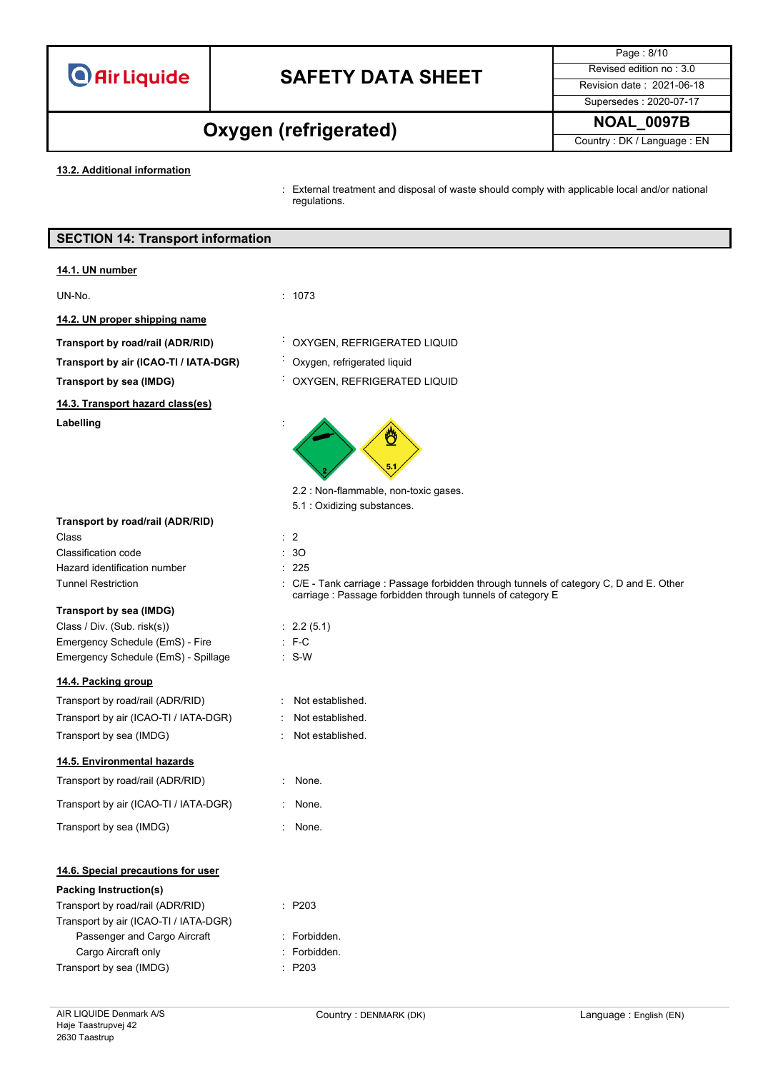

Page : 8/10 Supersedes : 2020-07-17

# **NOAL\_0097B Oxygen (refrigerated)**

Country : DK / Language : EN

**13.2. Additional information**

: External treatment and disposal of waste should comply with applicable local and/or national regulations.

### **SECTION 14: Transport information**

#### **14.1. UN number**

#### UN-No. : 1073

**14.2. UN proper shipping name**

**14.3. Transport hazard class(es) Labelling** :

- 
- **Transport by road/rail (ADR/RID)** : OXYGEN, REFRIGERATED LIQUID
- **Transport by air (ICAO-TI / IATA-DGR)** : Oxygen, refrigerated liquid
- **Transport by sea (IMDG)** : OXYGEN, REFRIGERATED LIQUID



2.2 : Non-flammable, non-toxic gases.

carriage : Passage forbidden through tunnels of category E

5.1 : Oxidizing substances.

: Not established. : Not established. : Not established.

#### **Transport by road/rail (ADR/RID)**

Class : 2 Classification code : 3O Hazard identification number : 225 Tunnel Restriction **in the COL - Tank carriage : Passage forbidden through tunnels of category C, D and E. Other** 

#### **Transport by sea (IMDG)**

Class / Div. (Sub. risk(s)) : 2.2 (5.1) Emergency Schedule (EmS) - Fire : F-C Emergency Schedule (EmS) - Spillage : S-W

#### **14.4. Packing group**

| Transport by road/rail (ADR/RID)      |
|---------------------------------------|
| Transport by air (ICAO-TI / IATA-DGR) |
| Transport by sea (IMDG)               |

#### **14.5. Environmental hazards**

Transport by road/rail (ADR/RID) : None.

Transport by air (ICAO-TI / IATA-DGR) : None.

Transport by sea (IMDG) **in the set of the ST** in None.

#### **14.6. Special precautions for user**

# **Packing Instruction(s)** Transport by road/rail (ADR/RID) : P203 Transport by air (ICAO-TI / IATA-DGR) Passenger and Cargo Aircraft : Forbidden. Cargo Aircraft only **Example 20** The Second Section 2011 : Forbidden.

Transport by sea (IMDG) : P203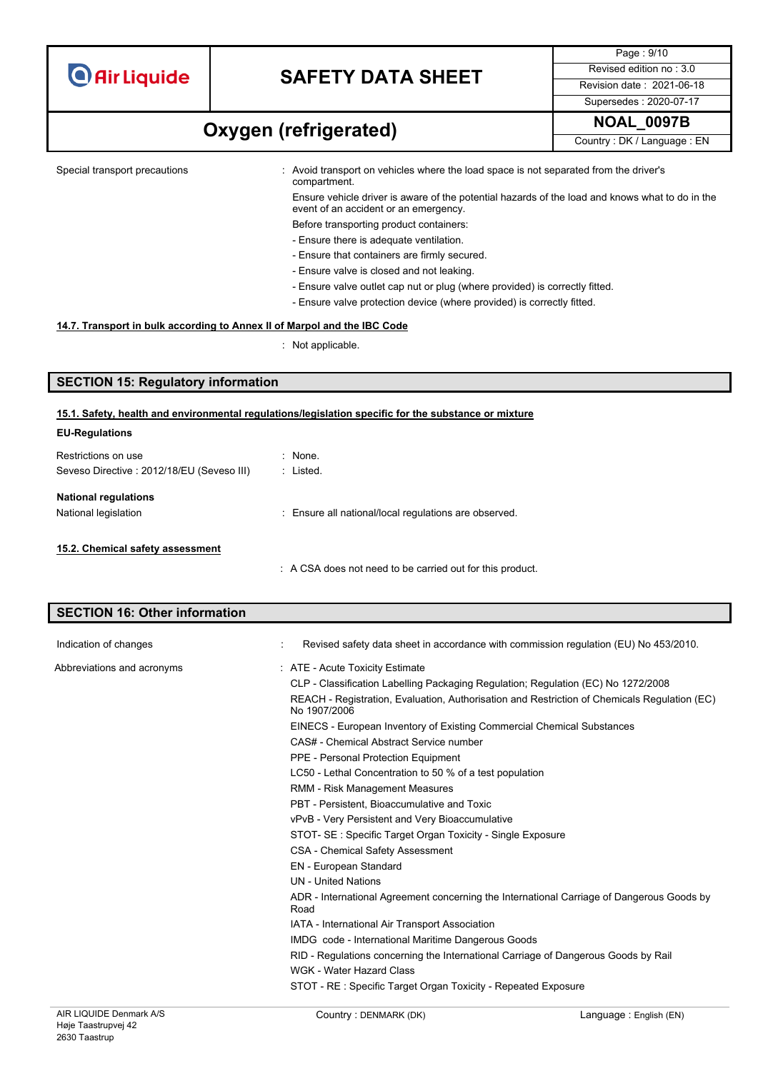

Page : 9/10 Supersedes : 2020-07-17

# **NOAL\_0097B Oxygen (refrigerated)**

Country : DK / Language : EN

Special transport precautions : Avoid transport on vehicles where the load space is not separated from the driver's compartment.

> Ensure vehicle driver is aware of the potential hazards of the load and knows what to do in the event of an accident or an emergency.

- Before transporting product containers: - Ensure there is adequate ventilation.
- Ensure that containers are firmly secured.
- Ensure valve is closed and not leaking.
- Ensure valve outlet cap nut or plug (where provided) is correctly fitted.
- Ensure valve protection device (where provided) is correctly fitted.

#### **14.7. Transport in bulk according to Annex II of Marpol and the IBC Code**

: Not applicable.

### **SECTION 15: Regulatory information**

#### **15.1. Safety, health and environmental regulations/legislation specific for the substance or mixture**

| <b>EU-Regulations</b>                      |                                                         |
|--------------------------------------------|---------------------------------------------------------|
| Restrictions on use                        | : None.                                                 |
| Seveso Directive : 2012/18/EU (Seveso III) | : Listed.                                               |
| <b>National regulations</b>                |                                                         |
| National legislation                       | : Ensure all national/local regulations are observed.   |
| 15.2. Chemical safety assessment           |                                                         |
|                                            | A CSA does not need to be carried out for this product. |

# **SECTION 16: Other information**

| Indication of changes      | Revised safety data sheet in accordance with commission regulation (EU) No 453/2010.                         |
|----------------------------|--------------------------------------------------------------------------------------------------------------|
| Abbreviations and acronyms | : ATE - Acute Toxicity Estimate                                                                              |
|                            | CLP - Classification Labelling Packaging Regulation; Regulation (EC) No 1272/2008                            |
|                            | REACH - Registration, Evaluation, Authorisation and Restriction of Chemicals Regulation (EC)<br>No 1907/2006 |
|                            | EINECS - European Inventory of Existing Commercial Chemical Substances                                       |
|                            | CAS# - Chemical Abstract Service number                                                                      |
|                            | PPE - Personal Protection Equipment                                                                          |
|                            | LC50 - Lethal Concentration to 50 % of a test population                                                     |
|                            | RMM - Risk Management Measures                                                                               |
|                            | PBT - Persistent, Bioaccumulative and Toxic                                                                  |
|                            | vPvB - Very Persistent and Very Bioaccumulative                                                              |
|                            | STOT- SE: Specific Target Organ Toxicity - Single Exposure                                                   |
|                            | <b>CSA - Chemical Safety Assessment</b>                                                                      |
|                            | <b>EN - European Standard</b>                                                                                |
|                            | <b>UN</b> - United Nations                                                                                   |
|                            | ADR - International Agreement concerning the International Carriage of Dangerous Goods by<br>Road            |
|                            | IATA - International Air Transport Association                                                               |
|                            | <b>IMDG</b> code - International Maritime Dangerous Goods                                                    |
|                            | RID - Regulations concerning the International Carriage of Dangerous Goods by Rail                           |
|                            | WGK - Water Hazard Class                                                                                     |
|                            | STOT - RE: Specific Target Organ Toxicity - Repeated Exposure                                                |